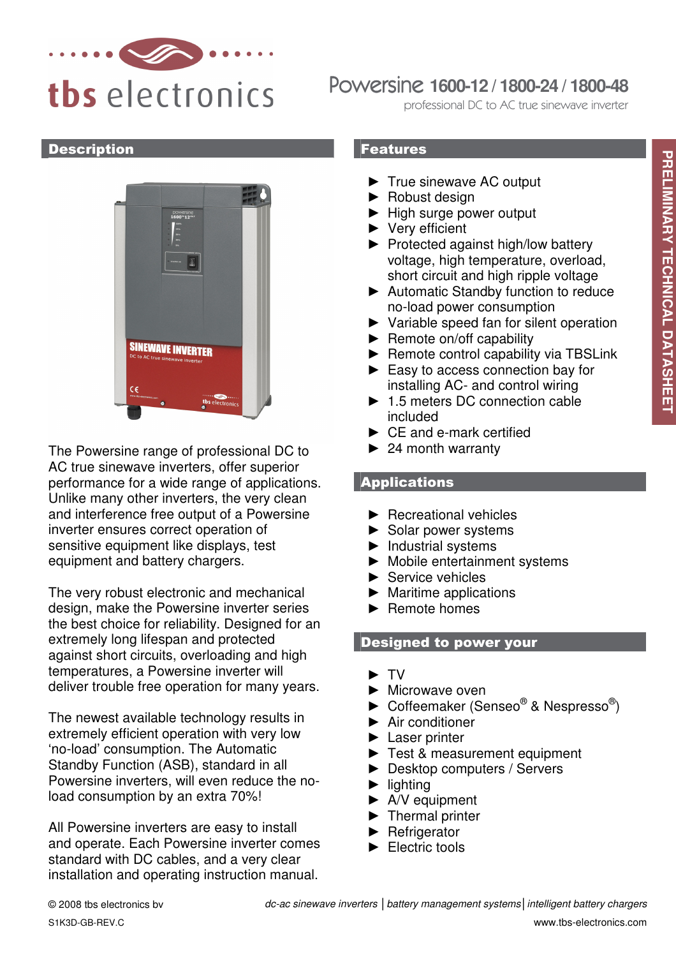

# Powersine **1600-12 / 1800-24 / 1800-48**

professional DC to AC true sinewave inverter

#### **Description**



The Powersine range of professional DC to AC true sinewave inverters, offer superior performance for a wide range of applications. Unlike many other inverters, the very clean and interference free output of a Powersine inverter ensures correct operation of sensitive equipment like displays, test equipment and battery chargers.

The very robust electronic and mechanical design, make the Powersine inverter series the best choice for reliability. Designed for an extremely long lifespan and protected against short circuits, overloading and high temperatures, a Powersine inverter will deliver trouble free operation for many years.

The newest available technology results in extremely efficient operation with very low 'no-load' consumption. The Automatic Standby Function (ASB), standard in all Powersine inverters, will even reduce the noload consumption by an extra 70%!

All Powersine inverters are easy to install and operate. Each Powersine inverter comes standard with DC cables, and a very clear installation and operating instruction manual.

### Features

- ► True sinewave AC output
- ► Robust design
- ► High surge power output
- ► Very efficient
- ► Protected against high/low battery voltage, high temperature, overload, short circuit and high ripple voltage
- ► Automatic Standby function to reduce no-load power consumption
- ► Variable speed fan for silent operation
- ► Remote on/off capability
- ► Remote control capability via TBSLink
- ► Easy to access connection bay for installing AC- and control wiring
- ► 1.5 meters DC connection cable included
- ► CE and e-mark certified
- $\blacktriangleright$  24 month warranty

## Applications

- ► Recreational vehicles
- ► Solar power systems
- ► Industrial systems
- ► Mobile entertainment systems
- ► Service vehicles
- $\blacktriangleright$  Maritime applications
- ► Remote homes

## Designed to power your

- ► TV
- ► Microwave oven
- $\blacktriangleright$  Coffeemaker (Senseo® & Nespresso®)
- ► Air conditioner
- ► Laser printer
- ► Test & measurement equipment
- ► Desktop computers / Servers
- ► lighting
- ► A/V equipment
- ► Thermal printer
- ► Refrigerator
- ► Electric tools